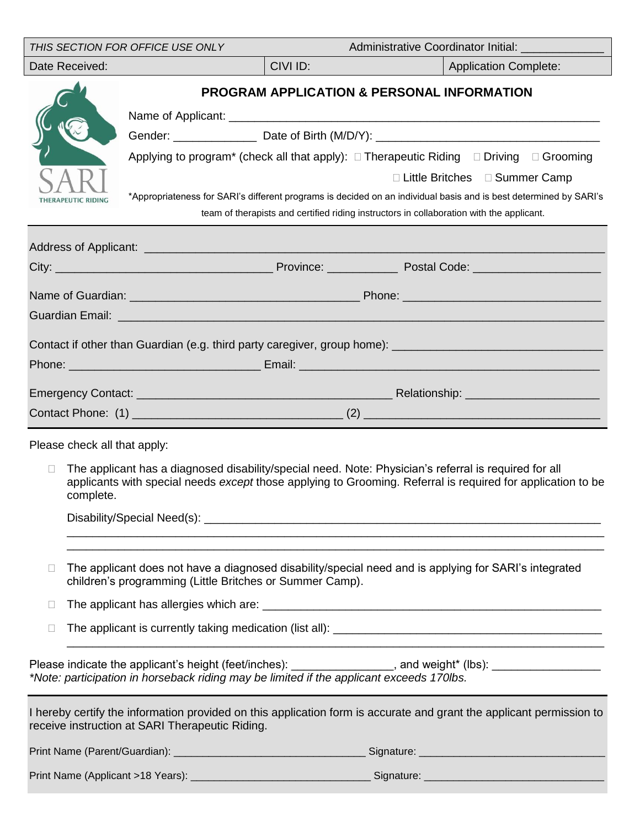|                                                | THIS SECTION FOR OFFICE USE ONLY                         | Administrative Coordinator Initial: ____ |                                                                                                                                                                                                                                                                                                                                                                                                                 |  |  |  |  |
|------------------------------------------------|----------------------------------------------------------|------------------------------------------|-----------------------------------------------------------------------------------------------------------------------------------------------------------------------------------------------------------------------------------------------------------------------------------------------------------------------------------------------------------------------------------------------------------------|--|--|--|--|
| Date Received:                                 |                                                          | CIVI ID:                                 | <b>Application Complete:</b>                                                                                                                                                                                                                                                                                                                                                                                    |  |  |  |  |
| THERAPEUTIC RIDING                             |                                                          |                                          | <b>PROGRAM APPLICATION &amp; PERSONAL INFORMATION</b><br>Applying to program <sup>*</sup> (check all that apply): □ Therapeutic Riding □ Driving □ Grooming<br>□ Little Britches □ Summer Camp<br>*Appropriateness for SARI's different programs is decided on an individual basis and is best determined by SARI's<br>team of therapists and certified riding instructors in collaboration with the applicant. |  |  |  |  |
|                                                |                                                          |                                          |                                                                                                                                                                                                                                                                                                                                                                                                                 |  |  |  |  |
|                                                |                                                          |                                          |                                                                                                                                                                                                                                                                                                                                                                                                                 |  |  |  |  |
|                                                |                                                          |                                          |                                                                                                                                                                                                                                                                                                                                                                                                                 |  |  |  |  |
|                                                |                                                          |                                          |                                                                                                                                                                                                                                                                                                                                                                                                                 |  |  |  |  |
|                                                |                                                          |                                          |                                                                                                                                                                                                                                                                                                                                                                                                                 |  |  |  |  |
| Please check all that apply:<br>П<br>complete. |                                                          |                                          | The applicant has a diagnosed disability/special need. Note: Physician's referral is required for all<br>applicants with special needs except those applying to Grooming. Referral is required for application to be                                                                                                                                                                                            |  |  |  |  |
| $\Box$<br>$\Box$<br>$\Box$                     | children's programming (Little Britches or Summer Camp). |                                          | The applicant does not have a diagnosed disability/special need and is applying for SARI's integrated                                                                                                                                                                                                                                                                                                           |  |  |  |  |
|                                                |                                                          |                                          | Please indicate the applicant's height (feet/inches): _______________, and weight* (lbs): ___________________<br>*Note: participation in horseback riding may be limited if the applicant exceeds 170lbs.                                                                                                                                                                                                       |  |  |  |  |
|                                                | receive instruction at SARI Therapeutic Riding.          |                                          | I hereby certify the information provided on this application form is accurate and grant the applicant permission to                                                                                                                                                                                                                                                                                            |  |  |  |  |
|                                                |                                                          |                                          |                                                                                                                                                                                                                                                                                                                                                                                                                 |  |  |  |  |
|                                                |                                                          |                                          |                                                                                                                                                                                                                                                                                                                                                                                                                 |  |  |  |  |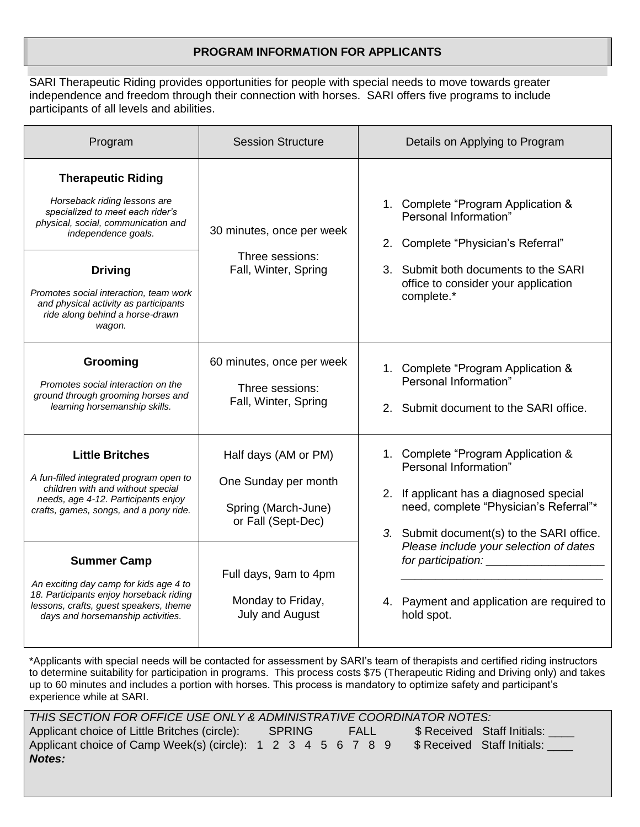### **PROGRAM INFORMATION FOR APPLICANTS**

SARI Therapeutic Riding provides opportunities for people with special needs to move towards greater independence and freedom through their connection with horses. SARI offers five programs to include participants of all levels and abilities.

| Program                                                                                                                                                                                                                                                                                                       | <b>Session Structure</b>                                                                  | Details on Applying to Program                                                                                                                                                                 |  |  |  |
|---------------------------------------------------------------------------------------------------------------------------------------------------------------------------------------------------------------------------------------------------------------------------------------------------------------|-------------------------------------------------------------------------------------------|------------------------------------------------------------------------------------------------------------------------------------------------------------------------------------------------|--|--|--|
| <b>Therapeutic Riding</b><br>Horseback riding lessons are<br>specialized to meet each rider's<br>physical, social, communication and<br>independence goals.<br><b>Driving</b><br>Promotes social interaction, team work<br>and physical activity as participants<br>ride along behind a horse-drawn<br>wagon. | 30 minutes, once per week<br>Three sessions:<br>Fall, Winter, Spring                      | 1. Complete "Program Application &<br>Personal Information"<br>2. Complete "Physician's Referral"<br>3. Submit both documents to the SARI<br>office to consider your application<br>complete.* |  |  |  |
| Grooming<br>Promotes social interaction on the<br>ground through grooming horses and<br>learning horsemanship skills.                                                                                                                                                                                         | 60 minutes, once per week<br>Three sessions:<br>Fall, Winter, Spring                      | 1. Complete "Program Application &<br>Personal Information"<br>2. Submit document to the SARI office.                                                                                          |  |  |  |
| <b>Little Britches</b><br>A fun-filled integrated program open to<br>children with and without special<br>needs, age 4-12. Participants enjoy<br>crafts, games, songs, and a pony ride.                                                                                                                       | Half days (AM or PM)<br>One Sunday per month<br>Spring (March-June)<br>or Fall (Sept-Dec) | 1. Complete "Program Application &<br>Personal Information"<br>2. If applicant has a diagnosed special<br>need, complete "Physician's Referral"*<br>3. Submit document(s) to the SARI office.  |  |  |  |
| <b>Summer Camp</b><br>An exciting day camp for kids age 4 to<br>18. Participants enjoy horseback riding<br>lessons, crafts, guest speakers, theme<br>days and horsemanship activities.                                                                                                                        | Full days, 9am to 4pm<br>Monday to Friday,<br>July and August                             | Please include your selection of dates<br>for participation: <u>containing</u><br>4. Payment and application are required to<br>hold spot.                                                     |  |  |  |

\*Applicants with special needs will be contacted for assessment by SARI's team of therapists and certified riding instructors to determine suitability for participation in programs. This process costs \$75 (Therapeutic Riding and Driving only) and takes up to 60 minutes and includes a portion with horses. This process is mandatory to optimize safety and participant's experience while at SARI.

| THIS SECTION FOR OFFICE USE ONLY & ADMINISTRATIVE COORDINATOR NOTES:                                  |  |  |  |  |  |  |  |  |  |                                  |
|-------------------------------------------------------------------------------------------------------|--|--|--|--|--|--|--|--|--|----------------------------------|
| Applicant choice of Little Britches (circle):<br>\$ Received Staff Initials:<br>SPRING<br><b>FALL</b> |  |  |  |  |  |  |  |  |  |                                  |
| Applicant choice of Camp Week(s) (circle): 1 2 3 4 5 6 7 8 9                                          |  |  |  |  |  |  |  |  |  | \$ Received Staff Initials: 1997 |
| <b>Notes:</b>                                                                                         |  |  |  |  |  |  |  |  |  |                                  |
|                                                                                                       |  |  |  |  |  |  |  |  |  |                                  |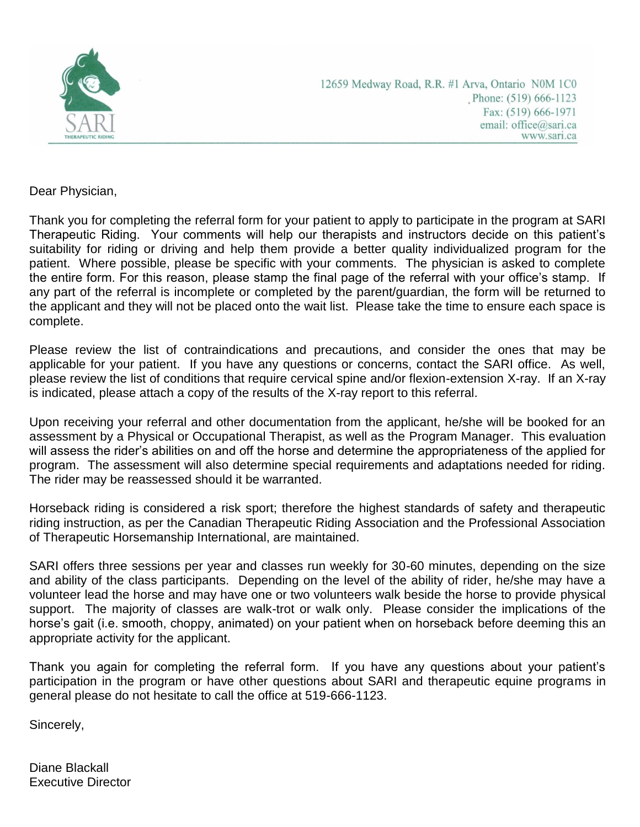

12659 Medway Road, R.R. #1 Arva, Ontario N0M 1C0 Phone: (519) 666-1123 Fax: (519) 666-1971 email: office@sari.ca www.sari.ca

Dear Physician,

Thank you for completing the referral form for your patient to apply to participate in the program at SARI Therapeutic Riding. Your comments will help our therapists and instructors decide on this patient's suitability for riding or driving and help them provide a better quality individualized program for the patient. Where possible, please be specific with your comments. The physician is asked to complete the entire form. For this reason, please stamp the final page of the referral with your office's stamp. If any part of the referral is incomplete or completed by the parent/guardian, the form will be returned to the applicant and they will not be placed onto the wait list. Please take the time to ensure each space is complete.

Please review the list of contraindications and precautions, and consider the ones that may be applicable for your patient. If you have any questions or concerns, contact the SARI office. As well, please review the list of conditions that require cervical spine and/or flexion-extension X-ray. If an X-ray is indicated, please attach a copy of the results of the X-ray report to this referral.

Upon receiving your referral and other documentation from the applicant, he/she will be booked for an assessment by a Physical or Occupational Therapist, as well as the Program Manager. This evaluation will assess the rider's abilities on and off the horse and determine the appropriateness of the applied for program. The assessment will also determine special requirements and adaptations needed for riding. The rider may be reassessed should it be warranted.

Horseback riding is considered a risk sport; therefore the highest standards of safety and therapeutic riding instruction, as per the Canadian Therapeutic Riding Association and the Professional Association of Therapeutic Horsemanship International, are maintained.

SARI offers three sessions per year and classes run weekly for 30-60 minutes, depending on the size and ability of the class participants. Depending on the level of the ability of rider, he/she may have a volunteer lead the horse and may have one or two volunteers walk beside the horse to provide physical support. The majority of classes are walk-trot or walk only. Please consider the implications of the horse's gait (i.e. smooth, choppy, animated) on your patient when on horseback before deeming this an appropriate activity for the applicant.

Thank you again for completing the referral form. If you have any questions about your patient's participation in the program or have other questions about SARI and therapeutic equine programs in general please do not hesitate to call the office at 519-666-1123.

Sincerely,

Diane Blackall Executive Director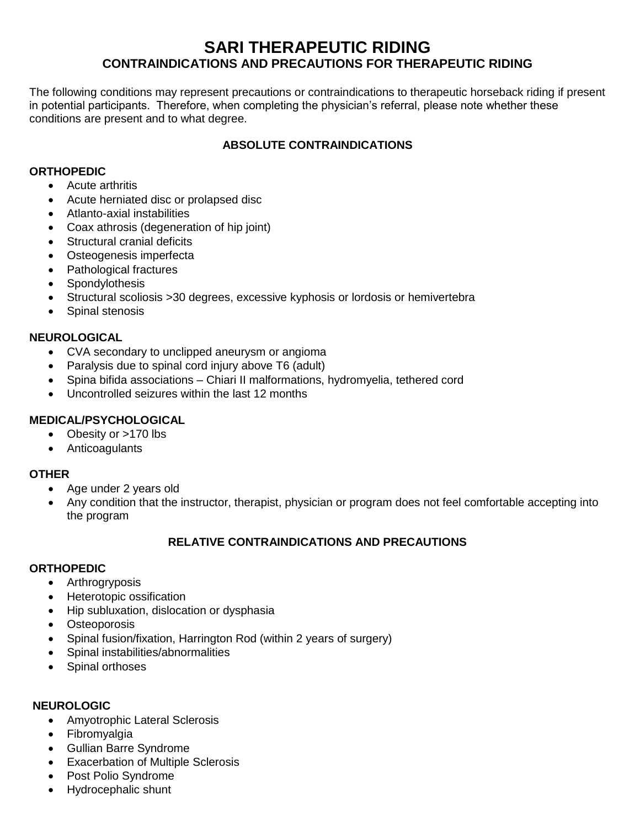## **SARI THERAPEUTIC RIDING CONTRAINDICATIONS AND PRECAUTIONS FOR THERAPEUTIC RIDING**

The following conditions may represent precautions or contraindications to therapeutic horseback riding if present in potential participants. Therefore, when completing the physician's referral, please note whether these conditions are present and to what degree.

## **ABSOLUTE CONTRAINDICATIONS**

### **ORTHOPEDIC**

- Acute arthritis
- Acute herniated disc or prolapsed disc
- Atlanto-axial instabilities
- Coax athrosis (degeneration of hip joint)
- Structural cranial deficits
- Osteogenesis imperfecta
- Pathological fractures
- Spondylothesis
- Structural scoliosis >30 degrees, excessive kyphosis or lordosis or hemivertebra
- Spinal stenosis

#### **NEUROLOGICAL**

- CVA secondary to unclipped aneurysm or angioma
- Paralysis due to spinal cord injury above T6 (adult)
- Spina bifida associations Chiari II malformations, hydromyelia, tethered cord
- Uncontrolled seizures within the last 12 months

## **MEDICAL/PSYCHOLOGICAL**

- Obesity or >170 lbs
- Anticoagulants

#### **OTHER**

- Age under 2 years old
- Any condition that the instructor, therapist, physician or program does not feel comfortable accepting into the program

## **RELATIVE CONTRAINDICATIONS AND PRECAUTIONS**

#### **ORTHOPEDIC**

- Arthrogryposis
- Heterotopic ossification
- Hip subluxation, dislocation or dysphasia
- Osteoporosis
- Spinal fusion/fixation, Harrington Rod (within 2 years of surgery)
- Spinal instabilities/abnormalities
- Spinal orthoses

#### **NEUROLOGIC**

- Amyotrophic Lateral Sclerosis
- Fibromyalgia
- Gullian Barre Syndrome
- Exacerbation of Multiple Sclerosis
- Post Polio Syndrome
- Hydrocephalic shunt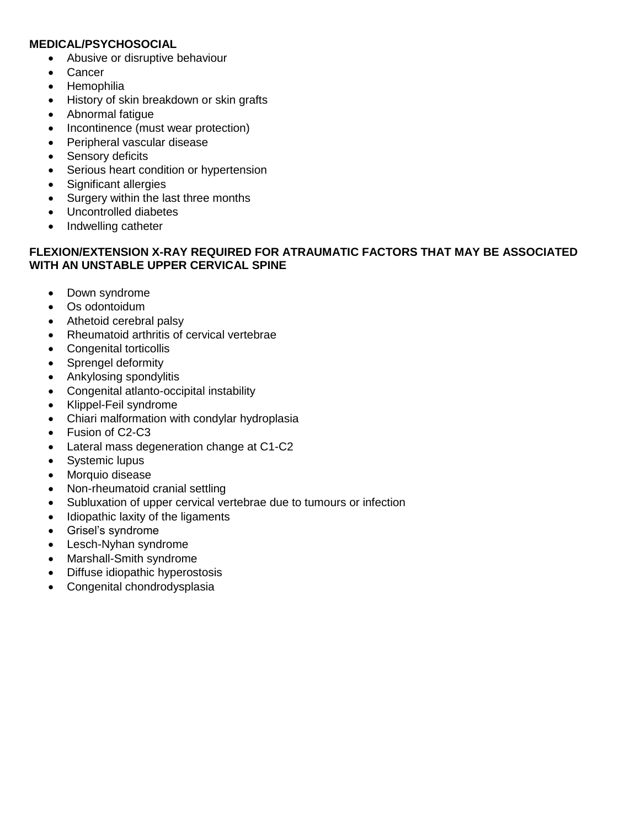#### **MEDICAL/PSYCHOSOCIAL**

- Abusive or disruptive behaviour
- Cancer
- Hemophilia
- History of skin breakdown or skin grafts
- Abnormal fatigue
- Incontinence (must wear protection)
- Peripheral vascular disease
- Sensory deficits
- Serious heart condition or hypertension
- Significant allergies
- Surgery within the last three months
- Uncontrolled diabetes
- Indwelling catheter

## **FLEXION/EXTENSION X-RAY REQUIRED FOR ATRAUMATIC FACTORS THAT MAY BE ASSOCIATED WITH AN UNSTABLE UPPER CERVICAL SPINE**

- Down syndrome
- Os odontoidum
- Athetoid cerebral palsy
- Rheumatoid arthritis of cervical vertebrae
- Congenital torticollis
- Sprengel deformity
- Ankylosing spondylitis
- Congenital atlanto-occipital instability
- Klippel-Feil syndrome
- Chiari malformation with condylar hydroplasia
- Fusion of C2-C3
- Lateral mass degeneration change at C1-C2
- Systemic lupus
- Morquio disease
- Non-rheumatoid cranial settling
- Subluxation of upper cervical vertebrae due to tumours or infection
- Idiopathic laxity of the ligaments
- Grisel's syndrome
- Lesch-Nyhan syndrome
- Marshall-Smith syndrome
- Diffuse idiopathic hyperostosis
- Congenital chondrodysplasia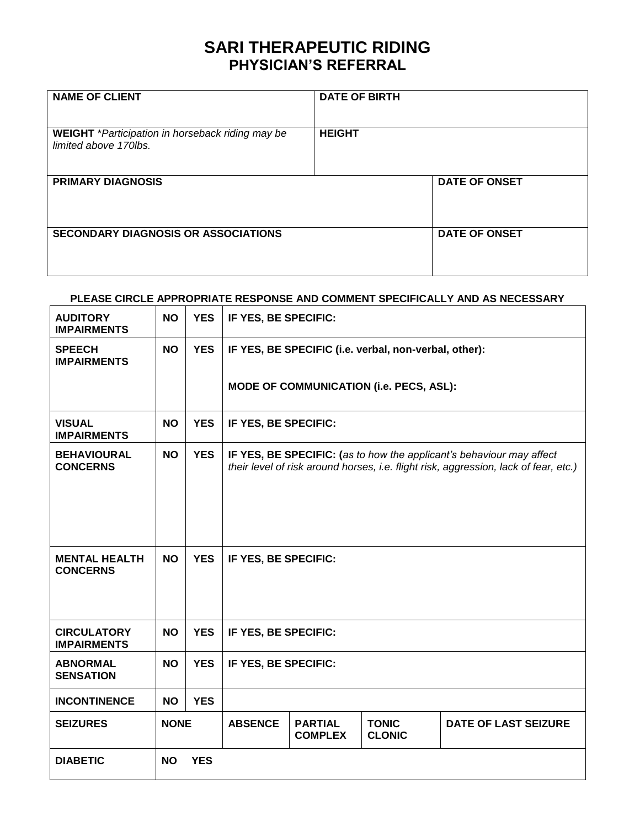# **SARI THERAPEUTIC RIDING PHYSICIAN'S REFERRAL**

| <b>NAME OF CLIENT</b>                                                     | <b>DATE OF BIRTH</b> |                      |
|---------------------------------------------------------------------------|----------------------|----------------------|
| WEIGHT *Participation in horseback riding may be<br>limited above 170lbs. | <b>HEIGHT</b>        |                      |
| <b>PRIMARY DIAGNOSIS</b>                                                  |                      | <b>DATE OF ONSET</b> |
| <b>SECONDARY DIAGNOSIS OR ASSOCIATIONS</b>                                |                      | <b>DATE OF ONSET</b> |

#### **PLEASE CIRCLE APPROPRIATE RESPONSE AND COMMENT SPECIFICALLY AND AS NECESSARY**

| <b>AUDITORY</b><br><b>IMPAIRMENTS</b>    | <b>NO</b>   | <b>YES</b> | IF YES, BE SPECIFIC:                                  |                                                                                                                                                              |                               |                             |  |  |  |  |  |  |
|------------------------------------------|-------------|------------|-------------------------------------------------------|--------------------------------------------------------------------------------------------------------------------------------------------------------------|-------------------------------|-----------------------------|--|--|--|--|--|--|
| <b>SPEECH</b><br><b>IMPAIRMENTS</b>      | <b>NO</b>   | <b>YES</b> | IF YES, BE SPECIFIC (i.e. verbal, non-verbal, other): |                                                                                                                                                              |                               |                             |  |  |  |  |  |  |
|                                          |             |            |                                                       | MODE OF COMMUNICATION (i.e. PECS, ASL):                                                                                                                      |                               |                             |  |  |  |  |  |  |
| <b>VISUAL</b><br><b>IMPAIRMENTS</b>      | <b>NO</b>   | <b>YES</b> |                                                       | IF YES, BE SPECIFIC:                                                                                                                                         |                               |                             |  |  |  |  |  |  |
| <b>BEHAVIOURAL</b><br><b>CONCERNS</b>    | <b>NO</b>   | <b>YES</b> |                                                       | IF YES, BE SPECIFIC: (as to how the applicant's behaviour may affect<br>their level of risk around horses, i.e. flight risk, aggression, lack of fear, etc.) |                               |                             |  |  |  |  |  |  |
|                                          |             |            |                                                       |                                                                                                                                                              |                               |                             |  |  |  |  |  |  |
| <b>MENTAL HEALTH</b><br><b>CONCERNS</b>  | <b>NO</b>   | <b>YES</b> | IF YES, BE SPECIFIC:                                  |                                                                                                                                                              |                               |                             |  |  |  |  |  |  |
|                                          |             |            |                                                       |                                                                                                                                                              |                               |                             |  |  |  |  |  |  |
| <b>CIRCULATORY</b><br><b>IMPAIRMENTS</b> | <b>NO</b>   | <b>YES</b> |                                                       | IF YES, BE SPECIFIC:                                                                                                                                         |                               |                             |  |  |  |  |  |  |
| <b>ABNORMAL</b><br><b>SENSATION</b>      | <b>NO</b>   | <b>YES</b> | IF YES, BE SPECIFIC:                                  |                                                                                                                                                              |                               |                             |  |  |  |  |  |  |
| <b>INCONTINENCE</b>                      | <b>NO</b>   | <b>YES</b> |                                                       |                                                                                                                                                              |                               |                             |  |  |  |  |  |  |
| <b>SEIZURES</b>                          | <b>NONE</b> |            | <b>ABSENCE</b>                                        | <b>PARTIAL</b><br><b>COMPLEX</b>                                                                                                                             | <b>TONIC</b><br><b>CLONIC</b> | <b>DATE OF LAST SEIZURE</b> |  |  |  |  |  |  |
| <b>DIABETIC</b>                          | <b>NO</b>   | <b>YES</b> |                                                       |                                                                                                                                                              |                               |                             |  |  |  |  |  |  |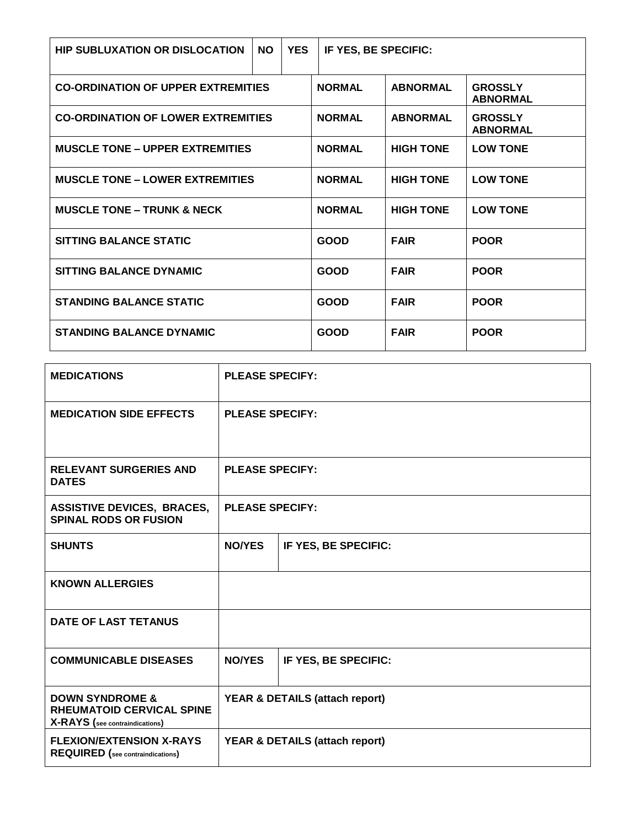| <b>HIP SUBLUXATION OR DISLOCATION</b>     | <b>NO</b>     | <b>YES</b>      | IF YES, BE SPECIFIC:              |                                   |                 |
|-------------------------------------------|---------------|-----------------|-----------------------------------|-----------------------------------|-----------------|
| <b>CO-ORDINATION OF UPPER EXTREMITIES</b> |               | <b>NORMAL</b>   | <b>ABNORMAL</b>                   | <b>GROSSLY</b><br><b>ABNORMAL</b> |                 |
| <b>CO-ORDINATION OF LOWER EXTREMITIES</b> | <b>NORMAL</b> | <b>ABNORMAL</b> | <b>GROSSLY</b><br><b>ABNORMAL</b> |                                   |                 |
| <b>MUSCLE TONE – UPPER EXTREMITIES</b>    |               | <b>NORMAL</b>   | <b>HIGH TONE</b>                  | <b>LOW TONE</b>                   |                 |
| <b>MUSCLE TONE - LOWER EXTREMITIES</b>    |               |                 | <b>NORMAL</b>                     | <b>HIGH TONE</b>                  | <b>LOW TONE</b> |
| <b>MUSCLE TONE – TRUNK &amp; NECK</b>     |               | <b>NORMAL</b>   | <b>HIGH TONE</b>                  | <b>LOW TONE</b>                   |                 |
| <b>SITTING BALANCE STATIC</b>             |               |                 | <b>GOOD</b>                       | <b>FAIR</b>                       | <b>POOR</b>     |
| SITTING BALANCE DYNAMIC                   |               |                 | GOOD                              | <b>FAIR</b>                       | <b>POOR</b>     |
| <b>STANDING BALANCE STATIC</b>            |               | <b>GOOD</b>     | <b>FAIR</b>                       | <b>POOR</b>                       |                 |
| <b>STANDING BALANCE DYNAMIC</b>           | <b>GOOD</b>   | <b>FAIR</b>     | <b>POOR</b>                       |                                   |                 |

| <b>MEDICATIONS</b>                                                                               | <b>PLEASE SPECIFY:</b>                    |  |  |  |  |  |
|--------------------------------------------------------------------------------------------------|-------------------------------------------|--|--|--|--|--|
| <b>MEDICATION SIDE EFFECTS</b>                                                                   | <b>PLEASE SPECIFY:</b>                    |  |  |  |  |  |
| <b>RELEVANT SURGERIES AND</b><br><b>DATES</b>                                                    | <b>PLEASE SPECIFY:</b>                    |  |  |  |  |  |
| <b>ASSISTIVE DEVICES, BRACES,</b><br><b>SPINAL RODS OR FUSION</b>                                | <b>PLEASE SPECIFY:</b>                    |  |  |  |  |  |
| <b>SHUNTS</b>                                                                                    | <b>NO/YES</b><br>IF YES, BE SPECIFIC:     |  |  |  |  |  |
| <b>KNOWN ALLERGIES</b>                                                                           |                                           |  |  |  |  |  |
| <b>DATE OF LAST TETANUS</b>                                                                      |                                           |  |  |  |  |  |
| <b>COMMUNICABLE DISEASES</b>                                                                     | <b>NO/YES</b><br>IF YES, BE SPECIFIC:     |  |  |  |  |  |
| <b>DOWN SYNDROME &amp;</b><br><b>RHEUMATOID CERVICAL SPINE</b><br>X-RAYS (see contraindications) | <b>YEAR &amp; DETAILS (attach report)</b> |  |  |  |  |  |
| <b>FLEXION/EXTENSION X-RAYS</b><br><b>REQUIRED</b> (see contraindications)                       | YEAR & DETAILS (attach report)            |  |  |  |  |  |